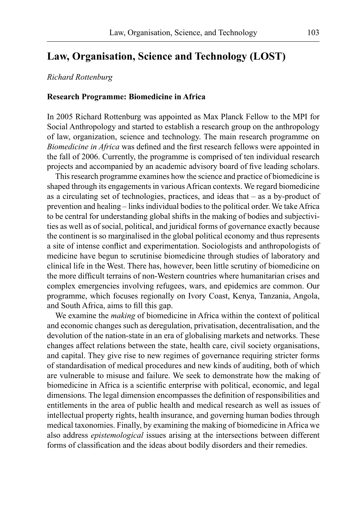# **Law, Organisation, Science and Technology (LOST)**

## *Richard Rottenburg*

#### **Research Programme: Biomedicine in Africa**

In 2005 Richard Rottenburg was appointed as Max Planck Fellow to the MPI for Social Anthropology and started to establish a research group on the anthropology of law, organization, science and technology. The main research programme on *Biomedicine in Africa* was defined and the first research fellows were appointed in the fall of 2006. Currently, the programme is comprised of ten individual research projects and accompanied by an academic advisory board of five leading scholars.

This research programme examines how the science and practice of biomedicine is shaped through its engagements in various African contexts. We regard biomedicine as a circulating set of technologies, practices, and ideas that – as a by-product of prevention and healing – links individual bodies to the political order. We takeAfrica to be central for understanding global shifts in the making of bodies and subjectivities as well as of social, political, and juridical forms of governance exactly because the continent is so marginalised in the global political economy and thus represents a site of intense conflict and experimentation. Sociologists and anthropologists of medicine have begun to scrutinise biomedicine through studies of laboratory and clinical life in the West. There has, however, been little scrutiny of biomedicine on the more difficult terrains of non-Western countries where humanitarian crises and complex emergencies involving refugees, wars, and epidemics are common. Our programme, which focuses regionally on Ivory Coast, Kenya, Tanzania, Angola, and South Africa, aims to fill this gap.

We examine the *making* of biomedicine in Africa within the context of political and economic changes such as deregulation, privatisation, decentralisation, and the devolution of the nation-state in an era of globalising markets and networks. These changes affect relations between the state, health care, civil society organisations, and capital. They give rise to new regimes of governance requiring stricter forms of standardisation of medical procedures and new kinds of auditing, both of which are vulnerable to misuse and failure. We seek to demonstrate how the making of biomedicine in Africa is a scientific enterprise with political, economic, and legal dimensions. The legal dimension encompasses the definition of responsibilities and entitlements in the area of public health and medical research as well as issues of intellectual property rights, health insurance, and governing human bodies through medical taxonomies. Finally, by examining the making of biomedicine inAfrica we also address *epistemological* issues arising at the intersections between different forms of classification and the ideas about bodily disorders and their remedies.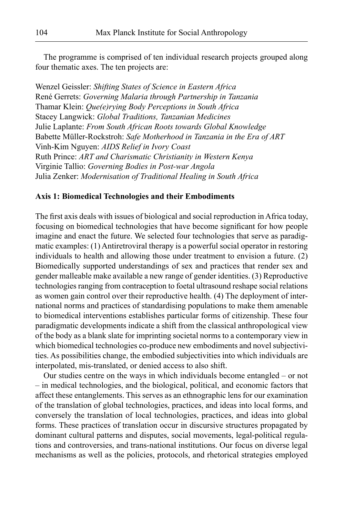The programme is comprised of ten individual research projects grouped along four thematic axes. The ten projects are:

Wenzel Geissler: *Shifting States of Science in Eastern Africa* René Gerrets: *Governing Malaria through Partnership in Tanzania* Thamar Klein: *Que(e)rying Body Perceptions in South Africa* Stacey Langwick: *Global Traditions, Tanzanian Medicines* Julie Laplante: *From South African Roots towards Global Knowledge* Babette Müller-Rockstroh: *Safe Motherhood in Tanzania in the Era of ART* Vinh-Kim Nguyen: *AIDS Relief in Ivory Coast* Ruth Prince: *ART and Charismatic Christianity in Western Kenya* Virginie Tallio: *Governing Bodies in Post-war Angola* Julia Zenker: *Modernisation of Traditional Healing in South Africa*

#### **Axis 1: Biomedical Technologies and their Embodiments**

The first axis deals with issues of biological and social reproduction in Africa today, focusing on biomedical technologies that have become significant for how people imagine and enact the future. We selected four technologies that serve as paradigmatic examples: (1) Antiretroviral therapy is a powerful social operator in restoring individuals to health and allowing those under treatment to envision a future. (2) Biomedically supported understandings of sex and practices that render sex and gender malleable make available a new range of gender identities. (3) Reproductive technologies ranging from contraception to foetal ultrasound reshape social relations as women gain control over their reproductive health. (4) The deployment of international norms and practices of standardising populations to make them amenable to biomedical interventions establishes particular forms of citizenship. These four paradigmatic developments indicate a shift from the classical anthropological view of the body as a blank slate for imprinting societal norms to a contemporary view in which biomedical technologies co-produce new embodiments and novel subjectivities. As possibilities change, the embodied subjectivities into which individuals are interpolated, mis-translated, or denied access to also shift.

Our studies centre on the ways in which individuals become entangled – or not – in medical technologies, and the biological, political, and economic factors that affect these entanglements. This serves as an ethnographic lens for our examination of the translation of global technologies, practices, and ideas into local forms, and conversely the translation of local technologies, practices, and ideas into global forms. These practices of translation occur in discursive structures propagated by dominant cultural patterns and disputes, social movements, legal-political regulations and controversies, and trans-national institutions. Our focus on diverse legal mechanisms as well as the policies, protocols, and rhetorical strategies employed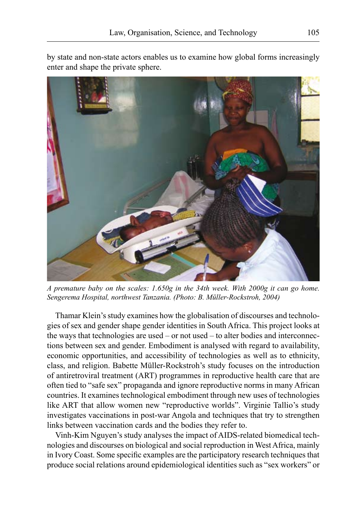by state and non-state actors enables us to examine how global forms increasingly enter and shape the private sphere.



*A premature baby on the scales: 1.650g in the 34th week. With 2000g it can go home. Sengerema Hospital, northwest Tanzania. (Photo: B. Müller-Rockstroh, 2004)*

Thamar Klein's study examines how the globalisation of discourses and technologies of sex and gender shape gender identities in South Africa. This project looks at the ways that technologies are used – or not used – to alter bodies and interconnections between sex and gender. Embodiment is analysed with regard to availability, economic opportunities, and accessibility of technologies as well as to ethnicity, class, and religion. Babette Müller-Rockstroh's study focuses on the introduction of antiretroviral treatment (ART) programmes in reproductive health care that are often tied to "safe sex" propaganda and ignore reproductive norms in many African countries. It examines technological embodiment through new uses of technologies like ART that allow women new "reproductive worlds". Virginie Tallio's study investigates vaccinations in post-war Angola and techniques that try to strengthen links between vaccination cards and the bodies they refer to.

Vinh-Kim Nguyen's study analyses the impact of AIDS-related biomedical technologies and discourses on biological and social reproduction in WestAfrica, mainly in Ivory Coast. Some specific examples are the participatory research techniques that produce social relations around epidemiological identities such as "sex workers" or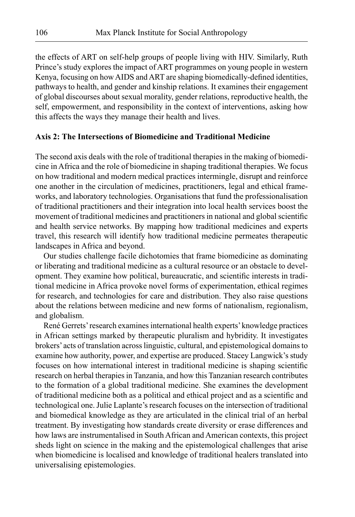the effects of ART on self-help groups of people living with HIV. Similarly, Ruth Prince's study explores the impact of ART programmes on young people in western Kenya, focusing on how AIDS and ART are shaping biomedically-defined identities, pathways to health, and gender and kinship relations. It examines their engagement of global discourses about sexual morality, gender relations, reproductive health, the self, empowerment, and responsibility in the context of interventions, asking how this affects the ways they manage their health and lives.

## **Axis 2: The Intersections of Biomedicine and Traditional Medicine**

The second axis deals with the role of traditional therapies in the making of biomedicine in Africa and the role of biomedicine in shaping traditional therapies. We focus on how traditional and modern medical practices intermingle, disrupt and reinforce one another in the circulation of medicines, practitioners, legal and ethical frameworks, and laboratory technologies. Organisations that fund the professionalisation of traditional practitioners and their integration into local health services boost the movement of traditional medicines and practitioners in national and global scientific and health service networks. By mapping how traditional medicines and experts travel, this research will identify how traditional medicine permeates therapeutic landscapes in Africa and beyond.

Our studies challenge facile dichotomies that frame biomedicine as dominating or liberating and traditional medicine as a cultural resource or an obstacle to development. They examine how political, bureaucratic, and scientific interests in traditional medicine in Africa provoke novel forms of experimentation, ethical regimes for research, and technologies for care and distribution. They also raise questions about the relations between medicine and new forms of nationalism, regionalism, and globalism.

René Gerrets'research examines international health experts'knowledge practices in African settings marked by therapeutic pluralism and hybridity. It investigates brokers' acts of translation across linguistic, cultural, and epistemological domains to examine how authority, power, and expertise are produced. Stacey Langwick's study focuses on how international interest in traditional medicine is shaping scientific research on herbal therapies in Tanzania, and how this Tanzanian research contributes to the formation of a global traditional medicine. She examines the development of traditional medicine both as a political and ethical project and as a scientific and technological one. Julie Laplante's research focuses on the intersection of traditional and biomedical knowledge as they are articulated in the clinical trial of an herbal treatment. By investigating how standards create diversity or erase differences and how laws are instrumentalised in South African and American contexts, this project sheds light on science in the making and the epistemological challenges that arise when biomedicine is localised and knowledge of traditional healers translated into universalising epistemologies.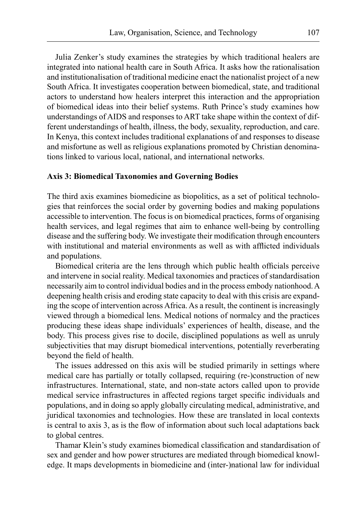Julia Zenker's study examines the strategies by which traditional healers are integrated into national health care in South Africa. It asks how the rationalisation and institutionalisation of traditional medicine enact the nationalist project of a new South Africa. It investigates cooperation between biomedical, state, and traditional actors to understand how healers interpret this interaction and the appropriation of biomedical ideas into their belief systems. Ruth Prince's study examines how understandings of AIDS and responses to ART take shape within the context of different understandings of health, illness, the body, sexuality, reproduction, and care. In Kenya, this context includes traditional explanations of and responses to disease and misfortune as well as religious explanations promoted by Christian denominations linked to various local, national, and international networks.

## **Axis 3: Biomedical Taxonomies and Governing Bodies**

The third axis examines biomedicine as biopolitics, as a set of political technologies that reinforces the social order by governing bodies and making populations accessible to intervention. The focus is on biomedical practices, forms of organising health services, and legal regimes that aim to enhance well-being by controlling disease and the suffering body. We investigate their modification through encounters with institutional and material environments as well as with afflicted individuals and populations.

Biomedical criteria are the lens through which public health officials perceive and intervene in social reality. Medical taxonomies and practices of standardisation necessarily aim to control individual bodies and in the process embody nationhood.A deepening health crisis and eroding state capacity to deal with this crisis are expanding the scope of intervention across Africa. As a result, the continent is increasingly viewed through a biomedical lens. Medical notions of normalcy and the practices producing these ideas shape individuals' experiences of health, disease, and the body. This process gives rise to docile, disciplined populations as well as unruly subjectivities that may disrupt biomedical interventions, potentially reverberating beyond the field of health.

The issues addressed on this axis will be studied primarily in settings where medical care has partially or totally collapsed, requiring (re-)construction of new infrastructures. International, state, and non-state actors called upon to provide medical service infrastructures in affected regions target specific individuals and populations, and in doing so apply globally circulating medical, administrative, and juridical taxonomies and technologies. How these are translated in local contexts is central to axis 3, as is the flow of information about such local adaptations back to global centres.

Thamar Klein's study examines biomedical classification and standardisation of sex and gender and how power structures are mediated through biomedical knowledge. It maps developments in biomedicine and (inter-)national law for individual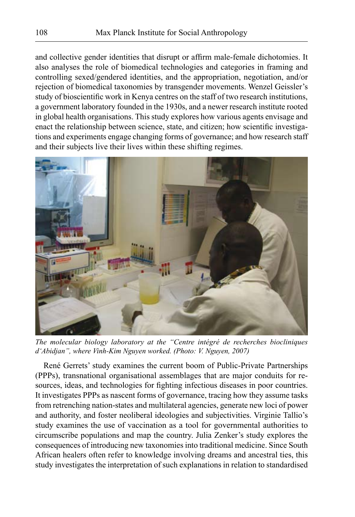and collective gender identities that disrupt or affirm male-female dichotomies. It also analyses the role of biomedical technologies and categories in framing and controlling sexed/gendered identities, and the appropriation, negotiation, and/or rejection of biomedical taxonomies by transgender movements. Wenzel Geissler's study of bioscientific work in Kenya centres on the staff of two research institutions, a government laboratory founded in the 1930s, and a newer research institute rooted in global health organisations. This study explores how various agents envisage and enact the relationship between science, state, and citizen; how scientific investigations and experiments engage changing forms of governance; and how research staff and their subjects live their lives within these shifting regimes.



*The molecular biology laboratory at the "Centre intégré de recherches biocliniques d'Abidjan", where Vinh-Kim Nguyen worked. (Photo: V. Nguyen, 2007)*

René Gerrets' study examines the current boom of Public-Private Partnerships (PPPs), transnational organisational assemblages that are major conduits for resources, ideas, and technologies for fighting infectious diseases in poor countries. It investigates PPPs as nascent forms of governance, tracing how they assume tasks from retrenching nation-states and multilateral agencies, generate new loci of power and authority, and foster neoliberal ideologies and subjectivities. Virginie Tallio's study examines the use of vaccination as a tool for governmental authorities to circumscribe populations and map the country. Julia Zenker's study explores the consequences of introducing new taxonomies into traditional medicine. Since South African healers often refer to knowledge involving dreams and ancestral ties, this study investigates the interpretation of such explanations in relation to standardised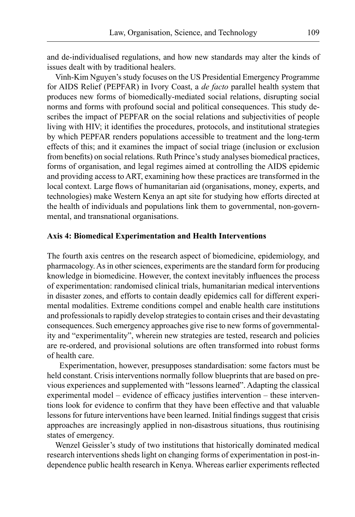and de-individualised regulations, and how new standards may alter the kinds of issues dealt with by traditional healers.

Vinh-Kim Nguyen's study focuses on the US Presidential Emergency Programme for AIDS Relief (PEPFAR) in Ivory Coast, a *de facto* parallel health system that produces new forms of biomedically-mediated social relations, disrupting social norms and forms with profound social and political consequences. This study describes the impact of PEPFAR on the social relations and subjectivities of people living with HIV; it identifies the procedures, protocols, and institutional strategies by which PEPFAR renders populations accessible to treatment and the long-term effects of this; and it examines the impact of social triage (inclusion or exclusion from benefits) on social relations. Ruth Prince's study analyses biomedical practices, forms of organisation, and legal regimes aimed at controlling the AIDS epidemic and providing access to ART, examining how these practices are transformed in the local context. Large flows of humanitarian aid (organisations, money, experts, and technologies) make Western Kenya an apt site for studying how efforts directed at the health of individuals and populations link them to governmental, non-governmental, and transnational organisations.

### **Axis 4: Biomedical Experimentation and Health Interventions**

The fourth axis centres on the research aspect of biomedicine, epidemiology, and pharmacology. As in other sciences, experiments are the standard form for producing knowledge in biomedicine. However, the context inevitably influences the process of experimentation: randomised clinical trials, humanitarian medical interventions in disaster zones, and efforts to contain deadly epidemics call for different experimental modalities. Extreme conditions compel and enable health care institutions and professionals to rapidly develop strategies to contain crises and their devastating consequences. Such emergency approaches give rise to new forms of governmentality and "experimentality", wherein new strategies are tested, research and policies are re-ordered, and provisional solutions are often transformed into robust forms of health care.

Experimentation, however, presupposes standardisation: some factors must be held constant. Crisis interventions normally follow blueprints that are based on previous experiences and supplemented with "lessons learned". Adapting the classical experimental model – evidence of efficacy justifies intervention – these interventions look for evidence to confirm that they have been effective and that valuable lessons for future interventions have been learned. Initial findings suggest that crisis approaches are increasingly applied in non-disastrous situations, thus routinising states of emergency.

Wenzel Geissler's study of two institutions that historically dominated medical research interventions sheds light on changing forms of experimentation in post-independence public health research in Kenya. Whereas earlier experiments reflected